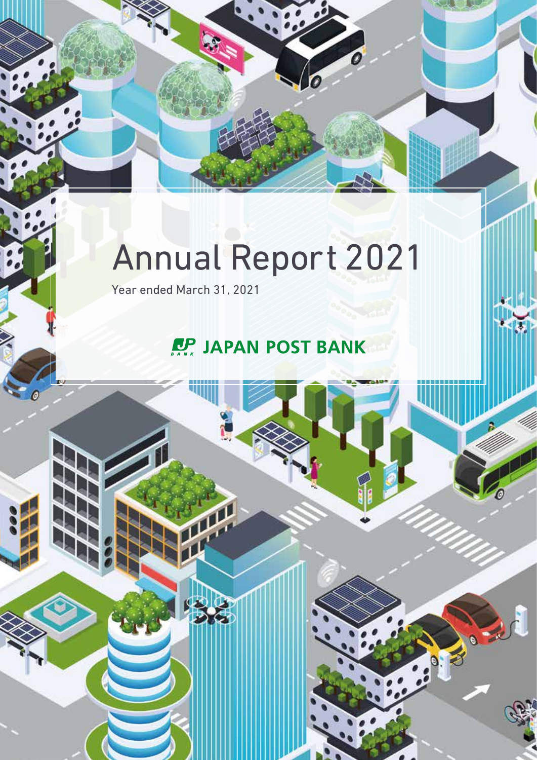# Annual Report 2021

Year ended March 31, 2021

## **PP JAPAN POST BANK**

Reported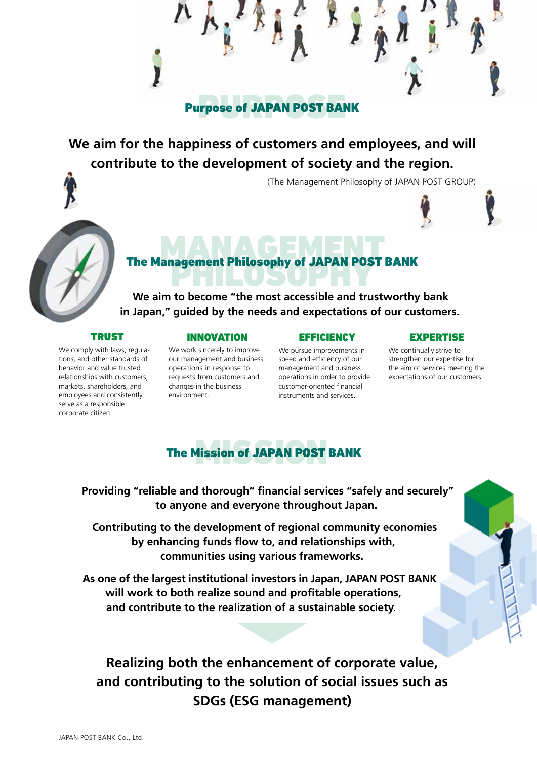**Tread of JAPAN POST BAI** Purpose of JAPAN POST BANK

### **We aim for the happiness of customers and employees, and will contribute to the development of society and the region.**

(The Management Philosophy of JAPAN POST GROUP)



# **MANAGEMENT PHOTOGROUP** The Management Philosophy of JAPAN POST BANK<br>Notes

**We aim to become "the most accessible and trustworthy bank in Japan," guided by the needs and expectations of our customers.**

### TRUST

We comply with laws, regulations, and other standards of behavior and value trusted relationships with customers, markets, shareholders, and employees and consistently serve as a responsible corporate citizen.

### INNOVATION

#### We work sincerely to improve our management and business operations in response to requests from customers and changes in the business environment.

### **EFFICIENCY**

We pursue improvements in speed and efficiency of our management and business operations in order to provide customer-oriented financial instruments and services.

### EXPERTISE

We continually strive to strengthen our expertise for the aim of services meeting the expectations of our customers.

### **Aission of JAPAN POST** The Mission of JAPAN POST BANK

**Providing "reliable and thorough" financial services "safely and securely" to anyone and everyone throughout Japan.**

**Contributing to the development of regional community economies by enhancing funds flow to, and relationships with, communities using various frameworks.**

**As one of the largest institutional investors in Japan, JAPAN POST BANK will work to both realize sound and profitable operations, and contribute to the realization of a sustainable society.**

### **Realizing both the enhancement of corporate value, and contributing to the solution of social issues such as SDGs (ESG management)**